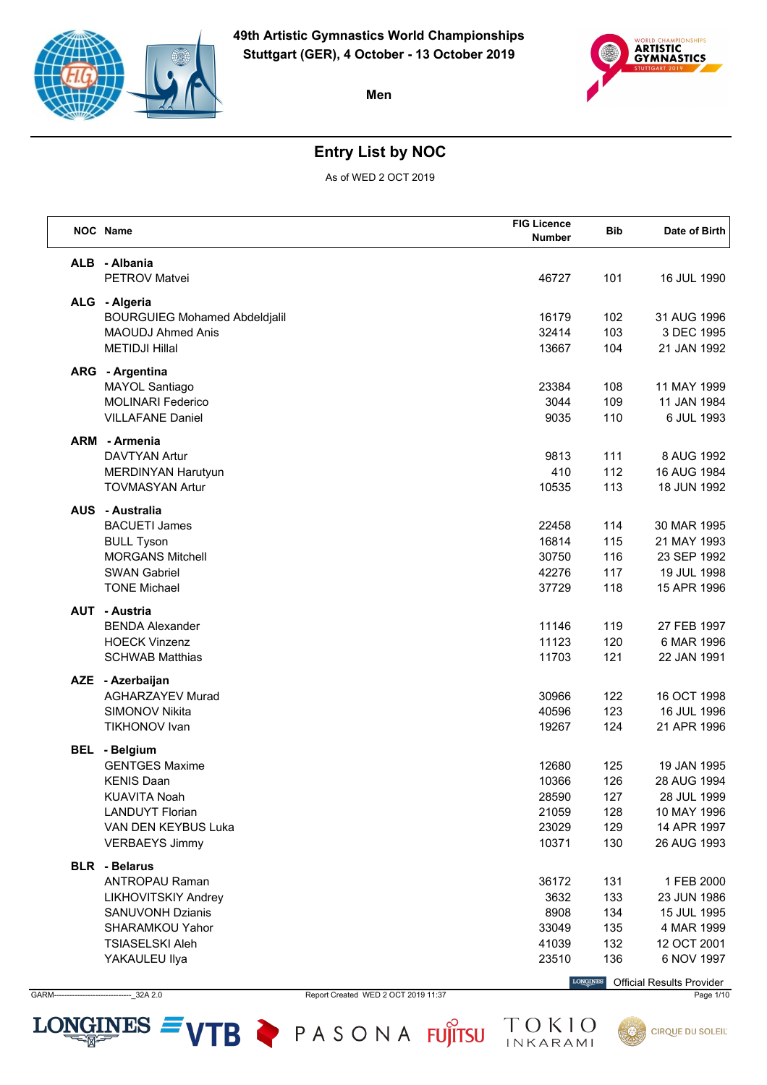



## **Entry List by NOC**

As of WED 2 OCT 2019

| NOC Name                                          | <b>FIG Licence</b><br><b>Number</b> | <b>Bib</b> | Date of Birth              |
|---------------------------------------------------|-------------------------------------|------------|----------------------------|
| ALB - Albania<br><b>PETROV Matvei</b>             | 46727                               | 101        | 16 JUL 1990                |
|                                                   |                                     |            |                            |
| ALG - Algeria                                     |                                     |            |                            |
| <b>BOURGUIEG Mohamed Abdeldjalil</b>              | 16179                               | 102        | 31 AUG 1996                |
| <b>MAOUDJ Ahmed Anis</b><br><b>METIDJI Hillal</b> | 32414<br>13667                      | 103<br>104 | 3 DEC 1995<br>21 JAN 1992  |
|                                                   |                                     |            |                            |
| ARG - Argentina                                   |                                     |            |                            |
| MAYOL Santiago                                    | 23384                               | 108        | 11 MAY 1999                |
| <b>MOLINARI Federico</b>                          | 3044                                | 109        | 11 JAN 1984                |
| <b>VILLAFANE Daniel</b>                           | 9035                                | 110        | 6 JUL 1993                 |
| <b>ARM</b> - Armenia                              |                                     |            |                            |
| <b>DAVTYAN Artur</b>                              | 9813                                | 111        | 8 AUG 1992                 |
| MERDINYAN Harutyun                                | 410                                 | 112        | 16 AUG 1984                |
| <b>TOVMASYAN Artur</b>                            | 10535                               | 113        | 18 JUN 1992                |
| <b>AUS</b> - Australia                            |                                     |            |                            |
| <b>BACUETI James</b>                              | 22458                               | 114        | 30 MAR 1995                |
| <b>BULL Tyson</b>                                 | 16814                               | 115        | 21 MAY 1993                |
| <b>MORGANS Mitchell</b>                           | 30750                               | 116        | 23 SEP 1992                |
| <b>SWAN Gabriel</b>                               | 42276                               | 117        | 19 JUL 1998                |
| <b>TONE Michael</b>                               | 37729                               | 118        | 15 APR 1996                |
| <b>AUT - Austria</b>                              |                                     |            |                            |
| <b>BENDA Alexander</b>                            | 11146                               | 119        | 27 FEB 1997                |
| <b>HOECK Vinzenz</b>                              | 11123                               | 120        | 6 MAR 1996                 |
| <b>SCHWAB Matthias</b>                            | 11703                               | 121        | 22 JAN 1991                |
| AZE - Azerbaijan                                  |                                     |            |                            |
| <b>AGHARZAYEV Murad</b>                           | 30966                               | 122        | 16 OCT 1998                |
| SIMONOV Nikita                                    | 40596                               | 123        | 16 JUL 1996                |
| <b>TIKHONOV Ivan</b>                              | 19267                               | 124        | 21 APR 1996                |
|                                                   |                                     |            |                            |
| <b>BEL</b> - Belgium                              |                                     |            | 19 JAN 1995                |
| <b>GENTGES Maxime</b><br><b>KENIS Daan</b>        | 12680                               | 125        |                            |
| <b>KUAVITA Noah</b>                               | 10366                               | 126<br>127 | 28 AUG 1994<br>28 JUL 1999 |
| <b>LANDUYT Florian</b>                            | 28590<br>21059                      | 128        | 10 MAY 1996                |
| VAN DEN KEYBUS Luka                               | 23029                               | 129        | 14 APR 1997                |
| <b>VERBAEYS Jimmy</b>                             | 10371                               | 130        | 26 AUG 1993                |
|                                                   |                                     |            |                            |
| <b>BLR</b> - Belarus                              |                                     |            |                            |
| <b>ANTROPAU Raman</b>                             | 36172                               | 131        | 1 FEB 2000                 |
| LIKHOVITSKIY Andrey                               | 3632                                | 133        | 23 JUN 1986                |
| <b>SANUVONH Dzianis</b>                           | 8908                                | 134        | 15 JUL 1995                |
| SHARAMKOU Yahor<br><b>TSIASELSKI Aleh</b>         | 33049<br>41039                      | 135<br>132 | 4 MAR 1999<br>12 OCT 2001  |
| YAKAULEU Ilya                                     | 23510                               | 136        | 6 NOV 1997                 |
|                                                   |                                     |            |                            |

GARM------------------------------\_32A 2.0 Report Created WED 2 OCT 2019 11:37 Page 1/10

LONGINES  $=$  VTB  $\triangleright$  PASONA FUJITSU

Official Results Provider

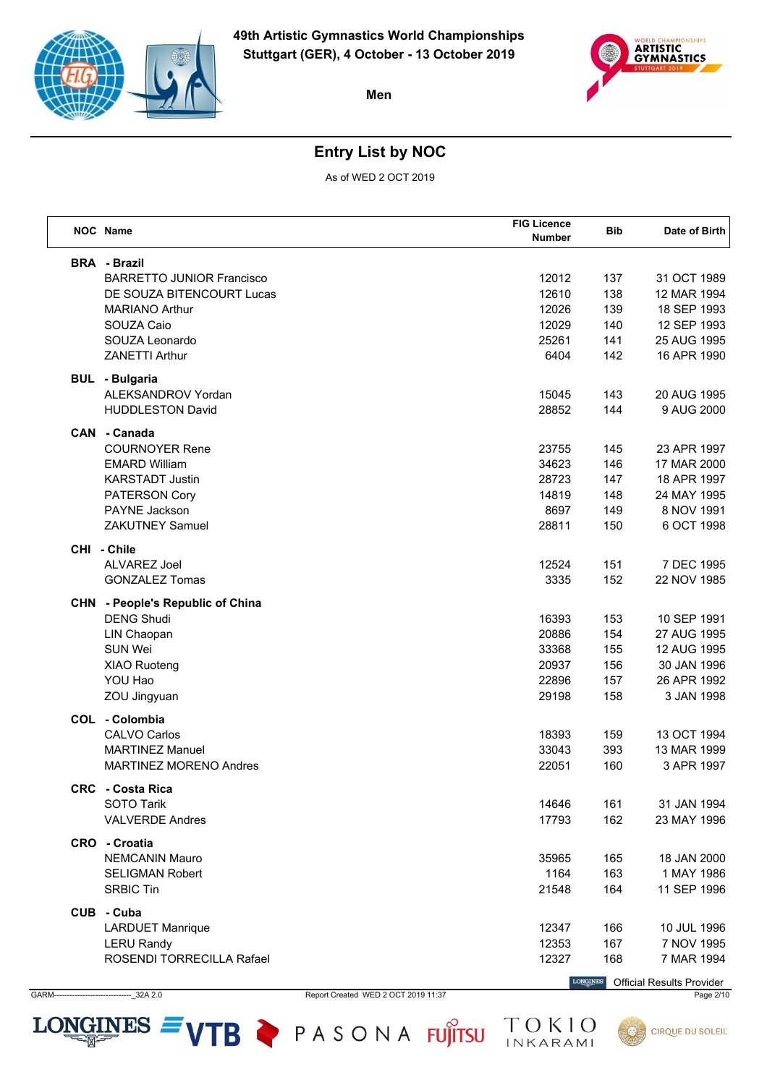



## **Entry List by NOC**

As of WED 2 OCT 2019

| NOC Name                                     | <b>FIG Licence</b><br><b>Number</b> | Bib        | Date of Birth                                            |
|----------------------------------------------|-------------------------------------|------------|----------------------------------------------------------|
| <b>BRA</b> - Brazil                          |                                     |            |                                                          |
| <b>BARRETTO JUNIOR Francisco</b>             | 12012                               | 137        | 31 OCT 1989                                              |
| DE SOUZA BITENCOURT Lucas                    | 12610                               | 138        | 12 MAR 1994                                              |
| <b>MARIANO Arthur</b>                        | 12026                               | 139        | 18 SEP 1993                                              |
| SOUZA Caio                                   | 12029                               | 140        | 12 SEP 1993                                              |
| SOUZA Leonardo                               | 25261                               | 141        | 25 AUG 1995                                              |
| <b>ZANETTI Arthur</b>                        | 6404                                | 142        | 16 APR 1990                                              |
| <b>BUL</b> - Bulgaria                        |                                     |            |                                                          |
| ALEKSANDROV Yordan                           | 15045                               | 143        | 20 AUG 1995                                              |
| <b>HUDDLESTON David</b>                      | 28852                               | 144        | 9 AUG 2000                                               |
| CAN - Canada                                 |                                     |            |                                                          |
| <b>COURNOYER Rene</b>                        | 23755                               | 145        | 23 APR 1997                                              |
| <b>EMARD William</b>                         | 34623                               | 146        | 17 MAR 2000                                              |
| <b>KARSTADT Justin</b>                       | 28723                               | 147        | 18 APR 1997                                              |
| PATERSON Cory<br><b>PAYNE Jackson</b>        | 14819                               | 148        | 24 MAY 1995                                              |
| <b>ZAKUTNEY Samuel</b>                       | 8697                                | 149        | 8 NOV 1991                                               |
|                                              | 28811                               | 150        | 6 OCT 1998                                               |
| CHI - Chile                                  |                                     |            |                                                          |
| ALVAREZ Joel                                 | 12524                               | 151        | 7 DEC 1995                                               |
| <b>GONZALEZ Tomas</b>                        | 3335                                | 152        | 22 NOV 1985                                              |
| <b>CHN</b> - People's Republic of China      |                                     |            |                                                          |
| <b>DENG Shudi</b>                            | 16393                               | 153        | 10 SEP 1991                                              |
| LIN Chaopan                                  | 20886                               | 154        | 27 AUG 1995                                              |
| SUN Wei                                      | 33368                               | 155        | 12 AUG 1995                                              |
| <b>XIAO Ruoteng</b>                          | 20937                               | 156        | 30 JAN 1996                                              |
| YOU Hao                                      | 22896                               | 157        | 26 APR 1992                                              |
| ZOU Jingyuan                                 | 29198                               | 158        | 3 JAN 1998                                               |
| COL - Colombia<br><b>CALVO Carlos</b>        | 18393                               | 159        | 13 OCT 1994                                              |
| <b>MARTINEZ Manuel</b>                       | 33043                               | 393        | 13 MAR 1999                                              |
| <b>MARTINEZ MORENO Andres</b>                | 22051                               | 160        | 3 APR 1997                                               |
|                                              |                                     |            |                                                          |
| <b>CRC</b> - Costa Rica<br><b>SOTO Tarik</b> |                                     |            | 31 JAN 1994                                              |
| <b>VALVERDE Andres</b>                       | 14646<br>17793                      | 161<br>162 | 23 MAY 1996                                              |
|                                              |                                     |            |                                                          |
| CRO - Croatia                                |                                     |            |                                                          |
| <b>NEMCANIN Mauro</b>                        | 35965                               | 165        | 18 JAN 2000                                              |
| <b>SELIGMAN Robert</b><br><b>SRBIC Tin</b>   | 1164                                | 163<br>164 | 1 MAY 1986<br>11 SEP 1996                                |
|                                              | 21548                               |            |                                                          |
| CUB - Cuba<br><b>LARDUET Manrique</b>        | 12347                               | 166        | 10 JUL 1996                                              |
| <b>LERU Randy</b>                            | 12353                               | 167        | 7 NOV 1995                                               |
| ROSENDI TORRECILLA Rafael                    | 12327                               | 168        | 7 MAR 1994                                               |
|                                              |                                     |            | <b>LONGINES</b> $O(f_1, \ldots, f_n)$ $D_2, \ldots, D_n$ |

GARM------------------------------\_32A 2.0 Report Created WED 2 OCT 2019 11:37 Page 2/10

LONGINES  $=$  VTB  $\geq$  PASONA FUJITSU

Official Results Provider

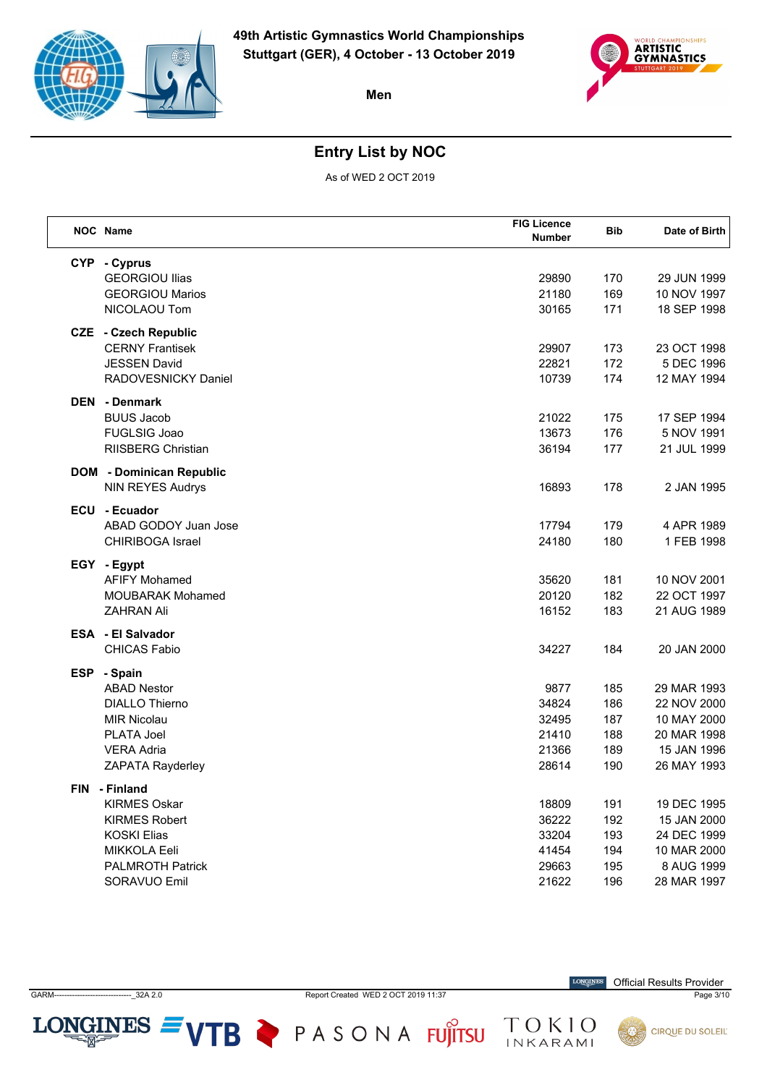



## **Entry List by NOC**

As of WED 2 OCT 2019

| NOC Name                        | <b>FIG Licence</b><br><b>Number</b> | <b>Bib</b> | Date of Birth |
|---------------------------------|-------------------------------------|------------|---------------|
| CYP - Cyprus                    |                                     |            |               |
| <b>GEORGIOU Ilias</b>           | 29890                               | 170        | 29 JUN 1999   |
| <b>GEORGIOU Marios</b>          | 21180                               | 169        | 10 NOV 1997   |
| NICOLAOU Tom                    | 30165                               | 171        | 18 SEP 1998   |
| <b>CZE</b> - Czech Republic     |                                     |            |               |
| <b>CERNY Frantisek</b>          | 29907                               | 173        | 23 OCT 1998   |
| <b>JESSEN David</b>             | 22821                               | 172        | 5 DEC 1996    |
| RADOVESNICKY Daniel             | 10739                               | 174        | 12 MAY 1994   |
| <b>DEN</b> - Denmark            |                                     |            |               |
| <b>BUUS Jacob</b>               | 21022                               | 175        | 17 SEP 1994   |
| FUGLSIG Joao                    | 13673                               | 176        | 5 NOV 1991    |
| <b>RIISBERG Christian</b>       | 36194                               | 177        | 21 JUL 1999   |
| <b>DOM</b> - Dominican Republic |                                     |            |               |
| NIN REYES Audrys                | 16893                               | 178        | 2 JAN 1995    |
| ECU - Ecuador                   |                                     |            |               |
| ABAD GODOY Juan Jose            | 17794                               | 179        | 4 APR 1989    |
| <b>CHIRIBOGA Israel</b>         | 24180                               | 180        | 1 FEB 1998    |
| EGY - Egypt                     |                                     |            |               |
| <b>AFIFY Mohamed</b>            | 35620                               | 181        | 10 NOV 2001   |
| <b>MOUBARAK Mohamed</b>         | 20120                               | 182        | 22 OCT 1997   |
| <b>ZAHRAN Ali</b>               | 16152                               | 183        | 21 AUG 1989   |
| <b>ESA</b> - El Salvador        |                                     |            |               |
| <b>CHICAS Fabio</b>             | 34227                               | 184        | 20 JAN 2000   |
| ESP - Spain                     |                                     |            |               |
| <b>ABAD Nestor</b>              | 9877                                | 185        | 29 MAR 1993   |
| <b>DIALLO Thierno</b>           | 34824                               | 186        | 22 NOV 2000   |
| <b>MIR Nicolau</b>              | 32495                               | 187        | 10 MAY 2000   |
| PLATA Joel                      | 21410                               | 188        | 20 MAR 1998   |
| <b>VERA Adria</b>               | 21366                               | 189        | 15 JAN 1996   |
| ZAPATA Rayderley                | 28614                               | 190        | 26 MAY 1993   |
| FIN - Finland                   |                                     |            |               |
| <b>KIRMES Oskar</b>             | 18809                               | 191        | 19 DEC 1995   |
| <b>KIRMES Robert</b>            | 36222                               | 192        | 15 JAN 2000   |
| <b>KOSKI Elias</b>              | 33204                               | 193        | 24 DEC 1999   |
| MIKKOLA Eeli                    | 41454                               | 194        | 10 MAR 2000   |
| <b>PALMROTH Patrick</b>         | 29663                               | 195        | 8 AUG 1999    |
| SORAVUO Emil                    | 21622                               | 196        | 28 MAR 1997   |

GARM------------------------------\_32A 2.0 Report Created WED 2 OCT 2019 11:37 Page 3/10

LONGINES  $=$  VTB  $\triangleright$  PASONA FUJITSU

 $\label{eq:conformal} \begin{minipage}{.4\linewidth} \textbf{LONGINES} \end{minipage}$ Official Results Provider

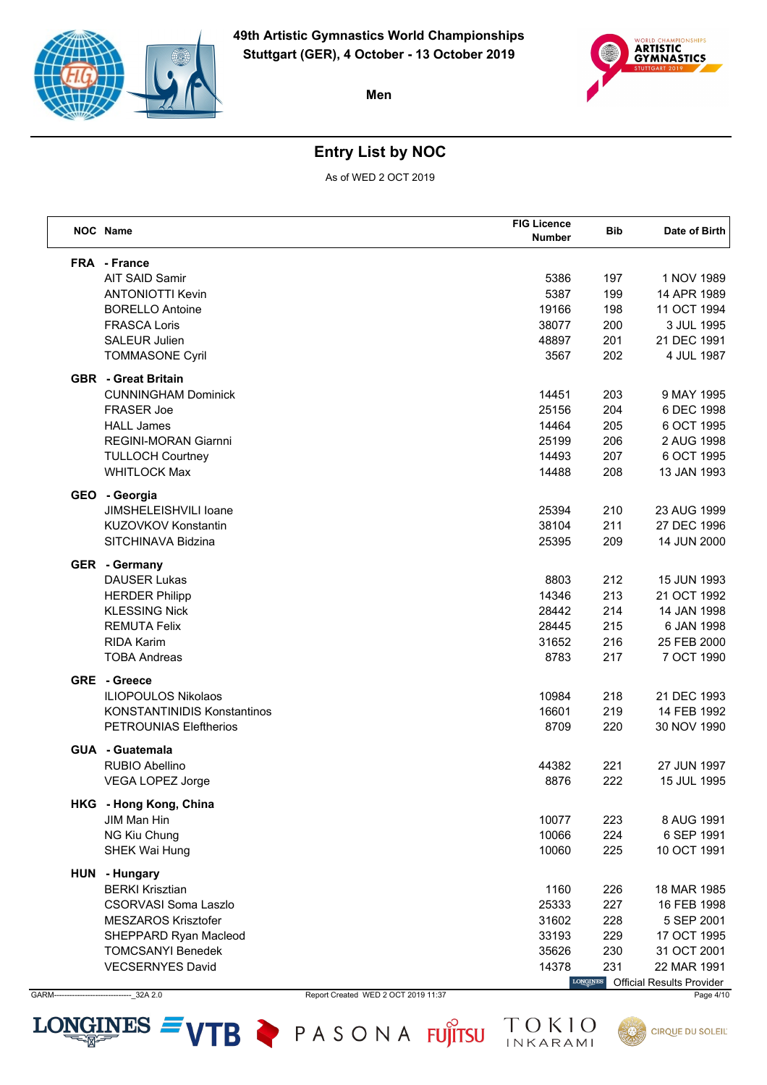



# **Entry List by NOC**

As of WED 2 OCT 2019

| <b>NOC</b> Name                                       |                                     | <b>FIG Licence</b><br>Number | <b>Bib</b>      | Date of Birth                    |
|-------------------------------------------------------|-------------------------------------|------------------------------|-----------------|----------------------------------|
| <b>FRA</b> - France                                   |                                     |                              |                 |                                  |
| <b>AIT SAID Samir</b>                                 |                                     | 5386                         | 197             | 1 NOV 1989                       |
| <b>ANTONIOTTI Kevin</b>                               |                                     | 5387                         | 199             | 14 APR 1989                      |
| <b>BORELLO Antoine</b>                                |                                     | 19166                        | 198             | 11 OCT 1994                      |
| <b>FRASCA Loris</b>                                   |                                     | 38077                        | 200             | 3 JUL 1995                       |
| <b>SALEUR Julien</b>                                  |                                     | 48897                        | 201             | 21 DEC 1991                      |
| <b>TOMMASONE Cyril</b>                                |                                     | 3567                         | 202             | 4 JUL 1987                       |
| <b>GBR</b> - Great Britain                            |                                     |                              |                 |                                  |
| <b>CUNNINGHAM Dominick</b>                            |                                     | 14451                        | 203             | 9 MAY 1995                       |
| <b>FRASER Joe</b>                                     |                                     | 25156                        | 204             | 6 DEC 1998                       |
| <b>HALL James</b>                                     |                                     | 14464                        | 205             | 6 OCT 1995                       |
| REGINI-MORAN Giarnni                                  |                                     | 25199                        | 206             | 2 AUG 1998                       |
| <b>TULLOCH Courtney</b>                               |                                     | 14493                        | 207             | 6 OCT 1995                       |
| <b>WHITLOCK Max</b>                                   |                                     | 14488                        | 208             | 13 JAN 1993                      |
| GEO - Georgia<br>JIMSHELEISHVILI Ioane                |                                     | 25394                        | 210             | 23 AUG 1999                      |
| <b>KUZOVKOV Konstantin</b>                            |                                     | 38104                        | 211             | 27 DEC 1996                      |
| SITCHINAVA Bidzina                                    |                                     | 25395                        | 209             | 14 JUN 2000                      |
|                                                       |                                     |                              |                 |                                  |
| <b>GER</b> - Germany<br><b>DAUSER Lukas</b>           |                                     | 8803                         | 212             | 15 JUN 1993                      |
| <b>HERDER Philipp</b>                                 |                                     | 14346                        | 213             | 21 OCT 1992                      |
| <b>KLESSING Nick</b>                                  |                                     | 28442                        | 214             | 14 JAN 1998                      |
| <b>REMUTA Felix</b>                                   |                                     | 28445                        | 215             | 6 JAN 1998                       |
| <b>RIDA Karim</b>                                     |                                     | 31652                        | 216             | 25 FEB 2000                      |
| <b>TOBA Andreas</b>                                   |                                     | 8783                         | 217             | 7 OCT 1990                       |
| <b>GRE</b> - Greece                                   |                                     |                              |                 |                                  |
| <b>ILIOPOULOS Nikolaos</b>                            |                                     | 10984                        | 218             | 21 DEC 1993                      |
| <b>KONSTANTINIDIS Konstantinos</b>                    |                                     | 16601                        | 219             | 14 FEB 1992                      |
| <b>PETROUNIAS Eleftherios</b>                         |                                     | 8709                         | 220             | 30 NOV 1990                      |
| <b>GUA - Guatemala</b>                                |                                     |                              |                 |                                  |
| RUBIO Abellino                                        |                                     | 44382                        | 221             | 27 JUN 1997                      |
| VEGA LOPEZ Jorge                                      |                                     | 8876                         | 222             | 15 JUL 1995                      |
| HKG - Hong Kong, China                                |                                     |                              |                 |                                  |
| JIM Man Hin                                           |                                     | 10077                        | 223             | 8 AUG 1991                       |
| NG Kiu Chung                                          |                                     | 10066                        | 224             | 6 SEP 1991                       |
| <b>SHEK Wai Hung</b>                                  |                                     | 10060                        | 225             | 10 OCT 1991                      |
| HUN - Hungary                                         |                                     |                              |                 |                                  |
| <b>BERKI Krisztian</b><br><b>CSORVASI Soma Laszlo</b> |                                     | 1160                         | 226             | 18 MAR 1985                      |
|                                                       |                                     | 25333                        | 227             | 16 FEB 1998                      |
| <b>MESZAROS Krisztofer</b>                            |                                     | 31602                        | 228             | 5 SEP 2001                       |
| SHEPPARD Ryan Macleod<br><b>TOMCSANYI Benedek</b>     |                                     | 33193<br>35626               | 229<br>230      | 17 OCT 1995<br>31 OCT 2001       |
| <b>VECSERNYES David</b>                               |                                     | 14378                        | 231             | 22 MAR 1991                      |
|                                                       |                                     |                              | <b>LONGINES</b> | <b>Official Results Provider</b> |
| $-232A2.0$                                            | Report Created WED 2 OCT 2019 11:37 |                              |                 | Page 4/10                        |

 $-32A2.0$ GARM

Report Created WED 2 OCT 2019 11:37

LONGINES  $=$  VTB  $\geq$  PASONA FUJITSU

**CIRQUE DU SOLEIL**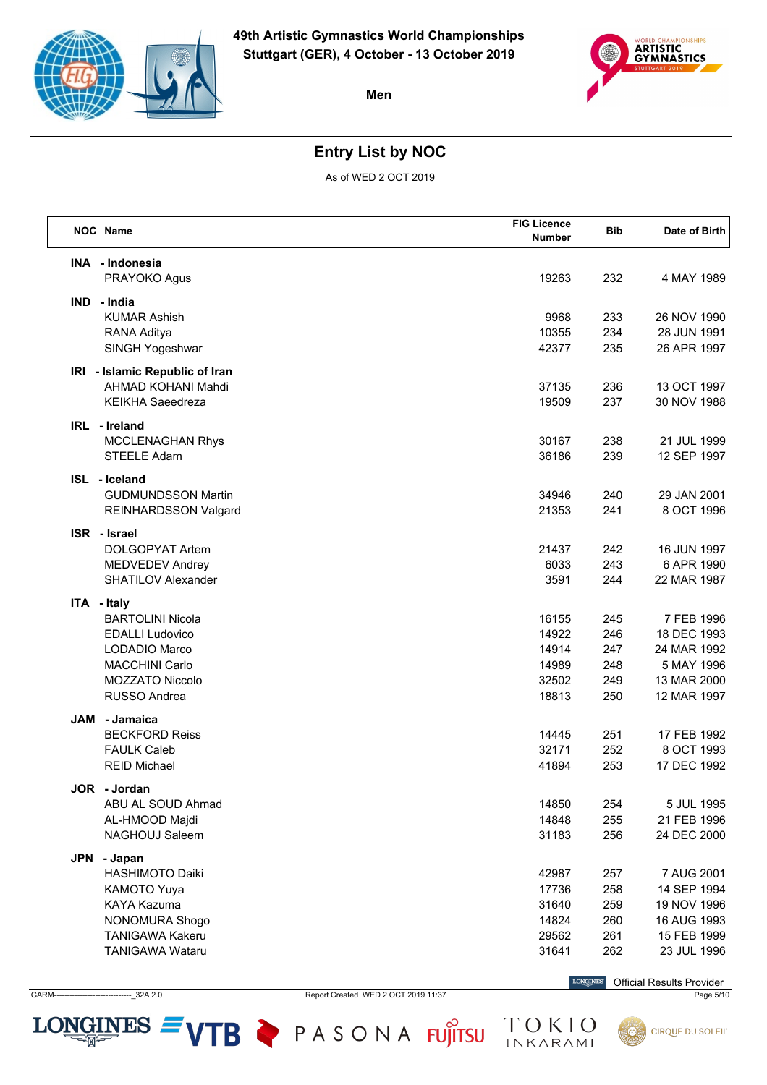



## **Entry List by NOC**

As of WED 2 OCT 2019

| NOC Name                          | <b>FIG Licence</b><br><b>Number</b> | <b>Bib</b> | Date of Birth              |
|-----------------------------------|-------------------------------------|------------|----------------------------|
| INA - Indonesia                   |                                     |            |                            |
| PRAYOKO Agus                      | 19263                               | 232        | 4 MAY 1989                 |
| IND - India                       |                                     |            |                            |
| <b>KUMAR Ashish</b>               | 9968                                | 233        | 26 NOV 1990                |
| RANA Aditya                       | 10355                               | 234        | 28 JUN 1991                |
| SINGH Yogeshwar                   | 42377                               | 235        | 26 APR 1997                |
| IRI - Islamic Republic of Iran    |                                     |            |                            |
| AHMAD KOHANI Mahdi                | 37135                               | 236        | 13 OCT 1997                |
| <b>KEIKHA Saeedreza</b>           | 19509                               | 237        | 30 NOV 1988                |
| IRL - Ireland                     |                                     |            |                            |
| <b>MCCLENAGHAN Rhys</b>           | 30167                               | 238        | 21 JUL 1999                |
| STEELE Adam                       | 36186                               | 239        | 12 SEP 1997                |
| ISL - Iceland                     |                                     |            |                            |
| <b>GUDMUNDSSON Martin</b>         | 34946                               | 240        | 29 JAN 2001                |
| REINHARDSSON Valgard              | 21353                               | 241        | 8 OCT 1996                 |
| ISR - Israel                      |                                     |            |                            |
| <b>DOLGOPYAT Artem</b>            | 21437                               | 242        | 16 JUN 1997                |
| <b>MEDVEDEV Andrey</b>            | 6033                                | 243        | 6 APR 1990                 |
| <b>SHATILOV Alexander</b>         | 3591                                | 244        | 22 MAR 1987                |
| ITA - Italy                       |                                     |            |                            |
| <b>BARTOLINI Nicola</b>           | 16155                               | 245        | 7 FEB 1996                 |
| <b>EDALLI Ludovico</b>            | 14922                               | 246        | 18 DEC 1993                |
| LODADIO Marco                     | 14914                               | 247        | 24 MAR 1992                |
| <b>MACCHINI Carlo</b>             | 14989                               | 248        | 5 MAY 1996                 |
| MOZZATO Niccolo                   | 32502                               | 249        | 13 MAR 2000                |
| RUSSO Andrea                      | 18813                               | 250        | 12 MAR 1997                |
| JAM<br>- Jamaica                  |                                     |            |                            |
| <b>BECKFORD Reiss</b>             | 14445                               | 251        | 17 FEB 1992                |
| <b>FAULK Caleb</b>                | 32171                               | 252        | 8 OCT 1993                 |
| <b>REID Michael</b>               | 41894                               | 253        | 17 DEC 1992                |
| JOR - Jordan                      |                                     |            |                            |
| ABU AL SOUD Ahmad                 | 14850                               | 254        | 5 JUL 1995                 |
| AL-HMOOD Majdi<br>NAGHOUJ Saleem  | 14848<br>31183                      | 255<br>256 | 21 FEB 1996<br>24 DEC 2000 |
|                                   |                                     |            |                            |
| JPN<br>- Japan                    |                                     |            |                            |
| <b>HASHIMOTO Daiki</b>            | 42987                               | 257        | 7 AUG 2001                 |
| KAMOTO Yuya<br><b>KAYA Kazuma</b> | 17736<br>31640                      | 258<br>259 | 14 SEP 1994<br>19 NOV 1996 |
| NONOMURA Shogo                    | 14824                               | 260        | 16 AUG 1993                |
| <b>TANIGAWA Kakeru</b>            | 29562                               | 261        | 15 FEB 1999                |
| <b>TANIGAWA Wataru</b>            | 31641                               | 262        | 23 JUL 1996                |
|                                   |                                     |            |                            |

GARM------------------------------\_32A 2.0 Report Created WED 2 OCT 2019 11:37 Page 5/10

LONGINES  $=$  VTB  $\triangleright$  PASONA FUJITSU

 $\label{eq:conformal} \begin{minipage}{.4\linewidth} \textbf{LONGINES} \end{minipage}$ Official Results Provider

TOKIO<br>INKARAMI

**CIRQUE DU SOLEIL**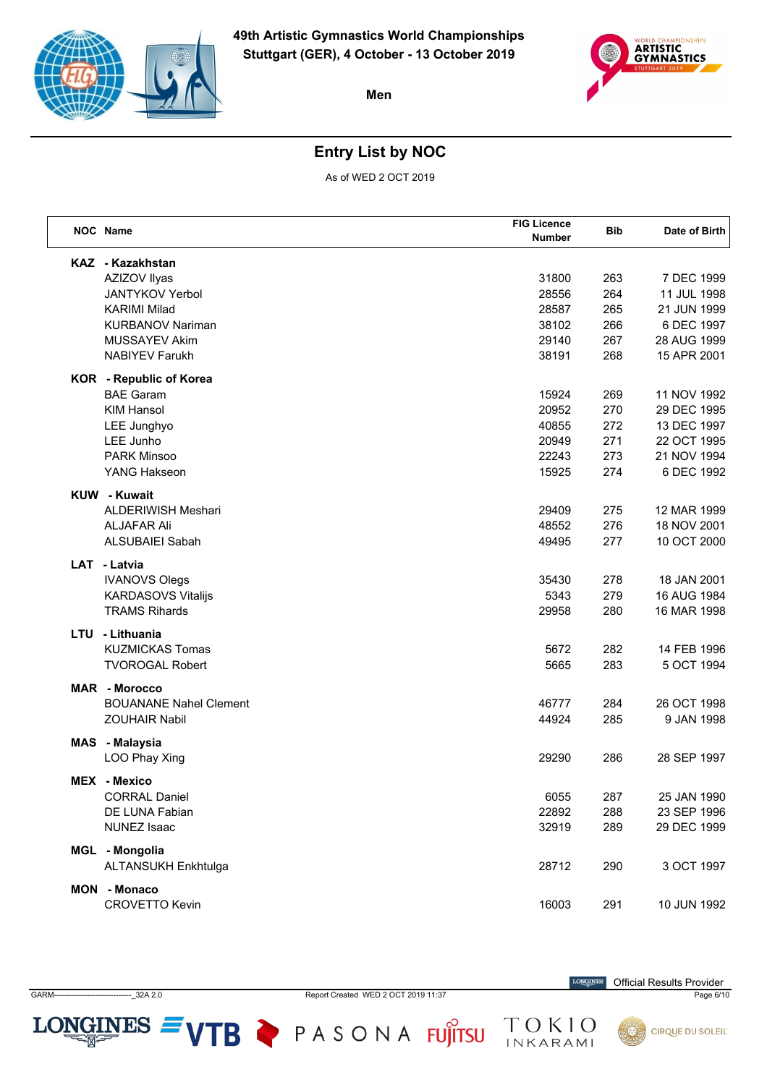



## **Entry List by NOC**

As of WED 2 OCT 2019

| <b>NOC</b> Name                | <b>FIG Licence</b><br><b>Number</b> | <b>Bib</b> | Date of Birth |
|--------------------------------|-------------------------------------|------------|---------------|
| KAZ - Kazakhstan               |                                     |            |               |
| AZIZOV Ilyas                   | 31800                               | 263        | 7 DEC 1999    |
| <b>JANTYKOV Yerbol</b>         | 28556                               | 264        | 11 JUL 1998   |
| <b>KARIMI Milad</b>            | 28587                               | 265        | 21 JUN 1999   |
| <b>KURBANOV Nariman</b>        | 38102                               | 266        | 6 DEC 1997    |
| MUSSAYEV Akim                  | 29140                               | 267        | 28 AUG 1999   |
| <b>NABIYEV Farukh</b>          | 38191                               | 268        | 15 APR 2001   |
| <b>KOR</b> - Republic of Korea |                                     |            |               |
| <b>BAE Garam</b>               | 15924                               | 269        | 11 NOV 1992   |
| <b>KIM Hansol</b>              | 20952                               | 270        | 29 DEC 1995   |
| LEE Junghyo                    | 40855                               | 272        | 13 DEC 1997   |
| LEE Junho                      | 20949                               | 271        | 22 OCT 1995   |
| <b>PARK Minsoo</b>             | 22243                               | 273        | 21 NOV 1994   |
| <b>YANG Hakseon</b>            | 15925                               | 274        | 6 DEC 1992    |
| <b>KUW</b> - Kuwait            |                                     |            |               |
| <b>ALDERIWISH Meshari</b>      | 29409                               | 275        | 12 MAR 1999   |
| <b>ALJAFAR Ali</b>             | 48552                               | 276        | 18 NOV 2001   |
| <b>ALSUBAIEI Sabah</b>         | 49495                               | 277        | 10 OCT 2000   |
| LAT - Latvia                   |                                     |            |               |
| <b>IVANOVS Olegs</b>           | 35430                               | 278        | 18 JAN 2001   |
| <b>KARDASOVS Vitalijs</b>      | 5343                                | 279        | 16 AUG 1984   |
| <b>TRAMS Rihards</b>           | 29958                               | 280        | 16 MAR 1998   |
| LTU - Lithuania                |                                     |            |               |
| <b>KUZMICKAS Tomas</b>         | 5672                                | 282        | 14 FEB 1996   |
| <b>TVOROGAL Robert</b>         | 5665                                | 283        | 5 OCT 1994    |
| <b>MAR</b> - Morocco           |                                     |            |               |
| <b>BOUANANE Nahel Clement</b>  | 46777                               | 284        | 26 OCT 1998   |
| <b>ZOUHAIR Nabil</b>           | 44924                               | 285        | 9 JAN 1998    |
| MAS - Malaysia                 |                                     |            |               |
| LOO Phay Xing                  | 29290                               | 286        | 28 SEP 1997   |
| MEX - Mexico                   |                                     |            |               |
| <b>CORRAL Daniel</b>           | 6055                                | 287        | 25 JAN 1990   |
| DE LUNA Fabian                 | 22892                               | 288        | 23 SEP 1996   |
| <b>NUNEZ Isaac</b>             | 32919                               | 289        | 29 DEC 1999   |
| MGL - Mongolia                 |                                     |            |               |
| ALTANSUKH Enkhtulga            | 28712                               | 290        | 3 OCT 1997    |
| MON - Monaco                   |                                     |            |               |
| <b>CROVETTO Kevin</b>          | 16003                               | 291        | 10 JUN 1992   |
|                                |                                     |            |               |

GARM  $-22A2.0$  Report Created WED 2 OCT 2019 11:37

LONGINES  $=$  VTB  $\triangleright$  PASONA FUJITSU

 $\label{eq:conformal} \begin{minipage}{.4\linewidth} \textbf{LONGINES} \end{minipage}$ **Official Results Provider** 

TOKIO

Page 6/10

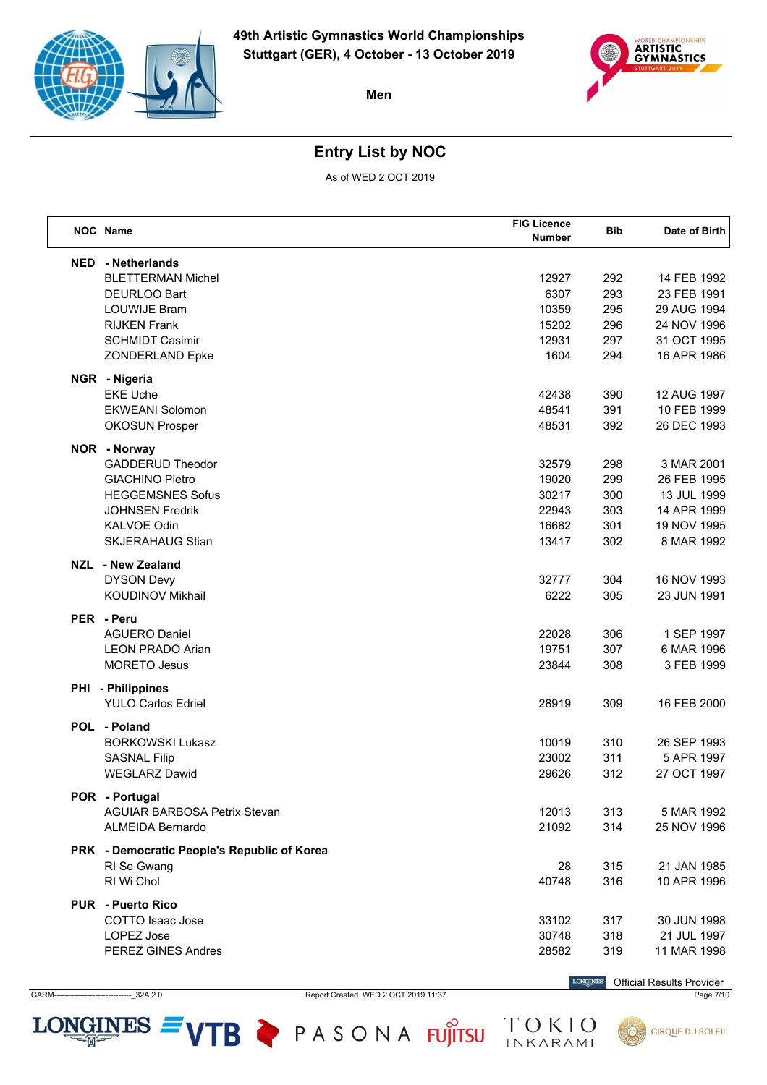



## **Entry List by NOC**

As of WED 2 OCT 2019

| <b>NED</b> - Netherlands<br><b>BLETTERMAN Michel</b><br>12927<br>292<br>14 FEB 1992<br>6307<br>293<br>DEURLOO Bart<br>23 FEB 1991<br><b>LOUWIJE Bram</b><br>10359<br>295<br>29 AUG 1994<br>296<br><b>RIJKEN Frank</b><br>15202<br>24 NOV 1996<br>297<br>31 OCT 1995<br><b>SCHMIDT Casimir</b><br>12931<br>294<br>ZONDERLAND Epke<br>1604<br>16 APR 1986<br>NGR - Nigeria<br><b>EKE Uche</b><br>390<br>12 AUG 1997<br>42438<br>391<br><b>EKWEANI Solomon</b><br>48541<br>10 FEB 1999<br>48531<br>392<br>26 DEC 1993<br><b>OKOSUN Prosper</b><br>NOR - Norway<br><b>GADDERUD Theodor</b><br>32579<br>298<br>3 MAR 2001<br><b>GIACHINO Pietro</b><br>19020<br>299<br>26 FEB 1995<br><b>HEGGEMSNES Sofus</b><br>30217<br>300<br>13 JUL 1999<br>303<br><b>JOHNSEN Fredrik</b><br>22943<br>14 APR 1999<br><b>KALVOE Odin</b><br>16682<br>301<br>19 NOV 1995<br><b>SKJERAHAUG Stian</b><br>13417<br>302<br>8 MAR 1992<br>NZL - New Zealand<br><b>DYSON Devy</b><br>32777<br>304<br>16 NOV 1993<br><b>KOUDINOV Mikhail</b><br>6222<br>305<br>23 JUN 1991<br>PER - Peru<br><b>AGUERO Daniel</b><br>22028<br>306<br>1 SEP 1997<br>19751<br><b>LEON PRADO Arian</b><br>307<br>6 MAR 1996<br><b>MORETO Jesus</b><br>23844<br>308<br>3 FEB 1999<br>PHI - Philippines<br><b>YULO Carlos Edriel</b><br>28919<br>309<br>16 FEB 2000<br>POL - Poland<br><b>BORKOWSKI Lukasz</b><br>10019<br>310<br>26 SEP 1993<br>311<br><b>SASNAL Filip</b><br>23002<br>5 APR 1997<br><b>WEGLARZ Dawid</b><br>29626<br>312<br>27 OCT 1997<br>POR - Portugal<br><b>AGUIAR BARBOSA Petrix Stevan</b><br>12013<br>313<br>5 MAR 1992<br>ALMEIDA Bernardo<br>21092<br>314<br>25 NOV 1996<br>PRK - Democratic People's Republic of Korea<br>28<br>315<br>21 JAN 1985<br>RI Se Gwang<br>RI Wi Chol<br>316<br>10 APR 1996<br>40748<br><b>PUR - Puerto Rico</b><br>COTTO Isaac Jose<br>33102<br>30 JUN 1998<br>317<br>LOPEZ Jose<br>30748<br>318<br>21 JUL 1997 | <b>NOC</b> Name    | <b>FIG Licence</b><br>Number | <b>Bib</b> | Date of Birth |
|------------------------------------------------------------------------------------------------------------------------------------------------------------------------------------------------------------------------------------------------------------------------------------------------------------------------------------------------------------------------------------------------------------------------------------------------------------------------------------------------------------------------------------------------------------------------------------------------------------------------------------------------------------------------------------------------------------------------------------------------------------------------------------------------------------------------------------------------------------------------------------------------------------------------------------------------------------------------------------------------------------------------------------------------------------------------------------------------------------------------------------------------------------------------------------------------------------------------------------------------------------------------------------------------------------------------------------------------------------------------------------------------------------------------------------------------------------------------------------------------------------------------------------------------------------------------------------------------------------------------------------------------------------------------------------------------------------------------------------------------------------------------------------------------------------------------------------------------------------------------------------------------------------------------|--------------------|------------------------------|------------|---------------|
|                                                                                                                                                                                                                                                                                                                                                                                                                                                                                                                                                                                                                                                                                                                                                                                                                                                                                                                                                                                                                                                                                                                                                                                                                                                                                                                                                                                                                                                                                                                                                                                                                                                                                                                                                                                                                                                                                                                        |                    |                              |            |               |
|                                                                                                                                                                                                                                                                                                                                                                                                                                                                                                                                                                                                                                                                                                                                                                                                                                                                                                                                                                                                                                                                                                                                                                                                                                                                                                                                                                                                                                                                                                                                                                                                                                                                                                                                                                                                                                                                                                                        |                    |                              |            |               |
|                                                                                                                                                                                                                                                                                                                                                                                                                                                                                                                                                                                                                                                                                                                                                                                                                                                                                                                                                                                                                                                                                                                                                                                                                                                                                                                                                                                                                                                                                                                                                                                                                                                                                                                                                                                                                                                                                                                        |                    |                              |            |               |
|                                                                                                                                                                                                                                                                                                                                                                                                                                                                                                                                                                                                                                                                                                                                                                                                                                                                                                                                                                                                                                                                                                                                                                                                                                                                                                                                                                                                                                                                                                                                                                                                                                                                                                                                                                                                                                                                                                                        |                    |                              |            |               |
|                                                                                                                                                                                                                                                                                                                                                                                                                                                                                                                                                                                                                                                                                                                                                                                                                                                                                                                                                                                                                                                                                                                                                                                                                                                                                                                                                                                                                                                                                                                                                                                                                                                                                                                                                                                                                                                                                                                        |                    |                              |            |               |
|                                                                                                                                                                                                                                                                                                                                                                                                                                                                                                                                                                                                                                                                                                                                                                                                                                                                                                                                                                                                                                                                                                                                                                                                                                                                                                                                                                                                                                                                                                                                                                                                                                                                                                                                                                                                                                                                                                                        |                    |                              |            |               |
|                                                                                                                                                                                                                                                                                                                                                                                                                                                                                                                                                                                                                                                                                                                                                                                                                                                                                                                                                                                                                                                                                                                                                                                                                                                                                                                                                                                                                                                                                                                                                                                                                                                                                                                                                                                                                                                                                                                        |                    |                              |            |               |
|                                                                                                                                                                                                                                                                                                                                                                                                                                                                                                                                                                                                                                                                                                                                                                                                                                                                                                                                                                                                                                                                                                                                                                                                                                                                                                                                                                                                                                                                                                                                                                                                                                                                                                                                                                                                                                                                                                                        |                    |                              |            |               |
|                                                                                                                                                                                                                                                                                                                                                                                                                                                                                                                                                                                                                                                                                                                                                                                                                                                                                                                                                                                                                                                                                                                                                                                                                                                                                                                                                                                                                                                                                                                                                                                                                                                                                                                                                                                                                                                                                                                        |                    |                              |            |               |
|                                                                                                                                                                                                                                                                                                                                                                                                                                                                                                                                                                                                                                                                                                                                                                                                                                                                                                                                                                                                                                                                                                                                                                                                                                                                                                                                                                                                                                                                                                                                                                                                                                                                                                                                                                                                                                                                                                                        |                    |                              |            |               |
|                                                                                                                                                                                                                                                                                                                                                                                                                                                                                                                                                                                                                                                                                                                                                                                                                                                                                                                                                                                                                                                                                                                                                                                                                                                                                                                                                                                                                                                                                                                                                                                                                                                                                                                                                                                                                                                                                                                        |                    |                              |            |               |
|                                                                                                                                                                                                                                                                                                                                                                                                                                                                                                                                                                                                                                                                                                                                                                                                                                                                                                                                                                                                                                                                                                                                                                                                                                                                                                                                                                                                                                                                                                                                                                                                                                                                                                                                                                                                                                                                                                                        |                    |                              |            |               |
|                                                                                                                                                                                                                                                                                                                                                                                                                                                                                                                                                                                                                                                                                                                                                                                                                                                                                                                                                                                                                                                                                                                                                                                                                                                                                                                                                                                                                                                                                                                                                                                                                                                                                                                                                                                                                                                                                                                        |                    |                              |            |               |
|                                                                                                                                                                                                                                                                                                                                                                                                                                                                                                                                                                                                                                                                                                                                                                                                                                                                                                                                                                                                                                                                                                                                                                                                                                                                                                                                                                                                                                                                                                                                                                                                                                                                                                                                                                                                                                                                                                                        |                    |                              |            |               |
|                                                                                                                                                                                                                                                                                                                                                                                                                                                                                                                                                                                                                                                                                                                                                                                                                                                                                                                                                                                                                                                                                                                                                                                                                                                                                                                                                                                                                                                                                                                                                                                                                                                                                                                                                                                                                                                                                                                        |                    |                              |            |               |
|                                                                                                                                                                                                                                                                                                                                                                                                                                                                                                                                                                                                                                                                                                                                                                                                                                                                                                                                                                                                                                                                                                                                                                                                                                                                                                                                                                                                                                                                                                                                                                                                                                                                                                                                                                                                                                                                                                                        |                    |                              |            |               |
|                                                                                                                                                                                                                                                                                                                                                                                                                                                                                                                                                                                                                                                                                                                                                                                                                                                                                                                                                                                                                                                                                                                                                                                                                                                                                                                                                                                                                                                                                                                                                                                                                                                                                                                                                                                                                                                                                                                        |                    |                              |            |               |
|                                                                                                                                                                                                                                                                                                                                                                                                                                                                                                                                                                                                                                                                                                                                                                                                                                                                                                                                                                                                                                                                                                                                                                                                                                                                                                                                                                                                                                                                                                                                                                                                                                                                                                                                                                                                                                                                                                                        |                    |                              |            |               |
|                                                                                                                                                                                                                                                                                                                                                                                                                                                                                                                                                                                                                                                                                                                                                                                                                                                                                                                                                                                                                                                                                                                                                                                                                                                                                                                                                                                                                                                                                                                                                                                                                                                                                                                                                                                                                                                                                                                        |                    |                              |            |               |
|                                                                                                                                                                                                                                                                                                                                                                                                                                                                                                                                                                                                                                                                                                                                                                                                                                                                                                                                                                                                                                                                                                                                                                                                                                                                                                                                                                                                                                                                                                                                                                                                                                                                                                                                                                                                                                                                                                                        |                    |                              |            |               |
|                                                                                                                                                                                                                                                                                                                                                                                                                                                                                                                                                                                                                                                                                                                                                                                                                                                                                                                                                                                                                                                                                                                                                                                                                                                                                                                                                                                                                                                                                                                                                                                                                                                                                                                                                                                                                                                                                                                        |                    |                              |            |               |
|                                                                                                                                                                                                                                                                                                                                                                                                                                                                                                                                                                                                                                                                                                                                                                                                                                                                                                                                                                                                                                                                                                                                                                                                                                                                                                                                                                                                                                                                                                                                                                                                                                                                                                                                                                                                                                                                                                                        |                    |                              |            |               |
|                                                                                                                                                                                                                                                                                                                                                                                                                                                                                                                                                                                                                                                                                                                                                                                                                                                                                                                                                                                                                                                                                                                                                                                                                                                                                                                                                                                                                                                                                                                                                                                                                                                                                                                                                                                                                                                                                                                        |                    |                              |            |               |
|                                                                                                                                                                                                                                                                                                                                                                                                                                                                                                                                                                                                                                                                                                                                                                                                                                                                                                                                                                                                                                                                                                                                                                                                                                                                                                                                                                                                                                                                                                                                                                                                                                                                                                                                                                                                                                                                                                                        |                    |                              |            |               |
|                                                                                                                                                                                                                                                                                                                                                                                                                                                                                                                                                                                                                                                                                                                                                                                                                                                                                                                                                                                                                                                                                                                                                                                                                                                                                                                                                                                                                                                                                                                                                                                                                                                                                                                                                                                                                                                                                                                        |                    |                              |            |               |
|                                                                                                                                                                                                                                                                                                                                                                                                                                                                                                                                                                                                                                                                                                                                                                                                                                                                                                                                                                                                                                                                                                                                                                                                                                                                                                                                                                                                                                                                                                                                                                                                                                                                                                                                                                                                                                                                                                                        |                    |                              |            |               |
|                                                                                                                                                                                                                                                                                                                                                                                                                                                                                                                                                                                                                                                                                                                                                                                                                                                                                                                                                                                                                                                                                                                                                                                                                                                                                                                                                                                                                                                                                                                                                                                                                                                                                                                                                                                                                                                                                                                        |                    |                              |            |               |
|                                                                                                                                                                                                                                                                                                                                                                                                                                                                                                                                                                                                                                                                                                                                                                                                                                                                                                                                                                                                                                                                                                                                                                                                                                                                                                                                                                                                                                                                                                                                                                                                                                                                                                                                                                                                                                                                                                                        |                    |                              |            |               |
|                                                                                                                                                                                                                                                                                                                                                                                                                                                                                                                                                                                                                                                                                                                                                                                                                                                                                                                                                                                                                                                                                                                                                                                                                                                                                                                                                                                                                                                                                                                                                                                                                                                                                                                                                                                                                                                                                                                        |                    |                              |            |               |
|                                                                                                                                                                                                                                                                                                                                                                                                                                                                                                                                                                                                                                                                                                                                                                                                                                                                                                                                                                                                                                                                                                                                                                                                                                                                                                                                                                                                                                                                                                                                                                                                                                                                                                                                                                                                                                                                                                                        |                    |                              |            |               |
|                                                                                                                                                                                                                                                                                                                                                                                                                                                                                                                                                                                                                                                                                                                                                                                                                                                                                                                                                                                                                                                                                                                                                                                                                                                                                                                                                                                                                                                                                                                                                                                                                                                                                                                                                                                                                                                                                                                        |                    |                              |            |               |
|                                                                                                                                                                                                                                                                                                                                                                                                                                                                                                                                                                                                                                                                                                                                                                                                                                                                                                                                                                                                                                                                                                                                                                                                                                                                                                                                                                                                                                                                                                                                                                                                                                                                                                                                                                                                                                                                                                                        |                    |                              |            |               |
|                                                                                                                                                                                                                                                                                                                                                                                                                                                                                                                                                                                                                                                                                                                                                                                                                                                                                                                                                                                                                                                                                                                                                                                                                                                                                                                                                                                                                                                                                                                                                                                                                                                                                                                                                                                                                                                                                                                        |                    |                              |            |               |
|                                                                                                                                                                                                                                                                                                                                                                                                                                                                                                                                                                                                                                                                                                                                                                                                                                                                                                                                                                                                                                                                                                                                                                                                                                                                                                                                                                                                                                                                                                                                                                                                                                                                                                                                                                                                                                                                                                                        |                    |                              |            |               |
|                                                                                                                                                                                                                                                                                                                                                                                                                                                                                                                                                                                                                                                                                                                                                                                                                                                                                                                                                                                                                                                                                                                                                                                                                                                                                                                                                                                                                                                                                                                                                                                                                                                                                                                                                                                                                                                                                                                        |                    |                              |            |               |
|                                                                                                                                                                                                                                                                                                                                                                                                                                                                                                                                                                                                                                                                                                                                                                                                                                                                                                                                                                                                                                                                                                                                                                                                                                                                                                                                                                                                                                                                                                                                                                                                                                                                                                                                                                                                                                                                                                                        |                    |                              |            |               |
|                                                                                                                                                                                                                                                                                                                                                                                                                                                                                                                                                                                                                                                                                                                                                                                                                                                                                                                                                                                                                                                                                                                                                                                                                                                                                                                                                                                                                                                                                                                                                                                                                                                                                                                                                                                                                                                                                                                        |                    |                              |            |               |
|                                                                                                                                                                                                                                                                                                                                                                                                                                                                                                                                                                                                                                                                                                                                                                                                                                                                                                                                                                                                                                                                                                                                                                                                                                                                                                                                                                                                                                                                                                                                                                                                                                                                                                                                                                                                                                                                                                                        |                    |                              |            |               |
|                                                                                                                                                                                                                                                                                                                                                                                                                                                                                                                                                                                                                                                                                                                                                                                                                                                                                                                                                                                                                                                                                                                                                                                                                                                                                                                                                                                                                                                                                                                                                                                                                                                                                                                                                                                                                                                                                                                        |                    |                              |            |               |
| 28582                                                                                                                                                                                                                                                                                                                                                                                                                                                                                                                                                                                                                                                                                                                                                                                                                                                                                                                                                                                                                                                                                                                                                                                                                                                                                                                                                                                                                                                                                                                                                                                                                                                                                                                                                                                                                                                                                                                  | PEREZ GINES Andres |                              | 319        | 11 MAR 1998   |

GARM------------------------------\_32A 2.0 Report Created WED 2 OCT 2019 11:37 Page 7/10

LONGINES  $=$  VTB  $\triangleright$  PASONA FUJITSU

 $\label{eq:conformal} \begin{minipage}{.4\linewidth} \textbf{LONGINES} \end{minipage}$ Official Results Provider

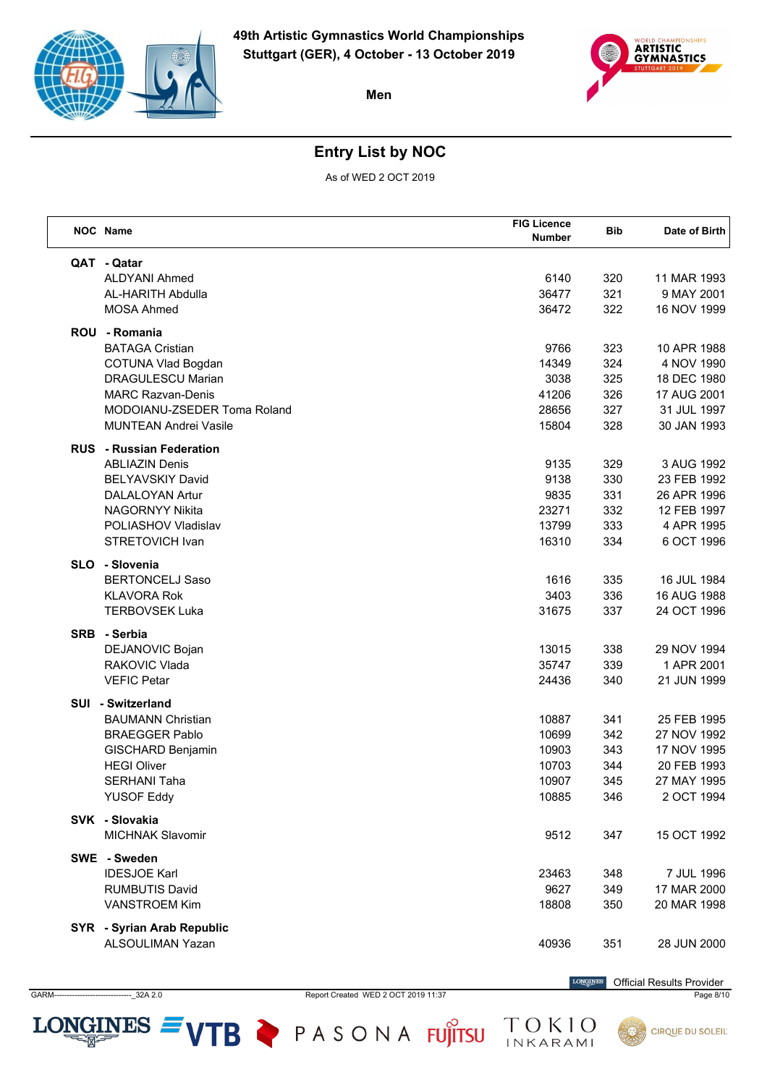



## **Entry List by NOC**

As of WED 2 OCT 2019

| NOC Name                        | <b>FIG Licence</b><br>Number | <b>Bib</b> | Date of Birth |
|---------------------------------|------------------------------|------------|---------------|
| QAT - Qatar                     |                              |            |               |
| <b>ALDYANI Ahmed</b>            | 6140                         | 320        | 11 MAR 1993   |
| <b>AL-HARITH Abdulla</b>        | 36477                        | 321        | 9 MAY 2001    |
| <b>MOSA Ahmed</b>               | 36472                        | 322        | 16 NOV 1999   |
| ROU - Romania                   |                              |            |               |
| <b>BATAGA Cristian</b>          | 9766                         | 323        | 10 APR 1988   |
| <b>COTUNA Vlad Bogdan</b>       | 14349                        | 324        | 4 NOV 1990    |
| <b>DRAGULESCU Marian</b>        | 3038                         | 325        | 18 DEC 1980   |
| <b>MARC Razvan-Denis</b>        | 41206                        | 326        | 17 AUG 2001   |
| MODOIANU-ZSEDER Toma Roland     | 28656                        | 327        | 31 JUL 1997   |
| <b>MUNTEAN Andrei Vasile</b>    | 15804                        | 328        | 30 JAN 1993   |
| <b>RUS</b> - Russian Federation |                              |            |               |
| <b>ABLIAZIN Denis</b>           | 9135                         | 329        | 3 AUG 1992    |
| <b>BELYAVSKIY David</b>         | 9138                         | 330        | 23 FEB 1992   |
| <b>DALALOYAN Artur</b>          | 9835                         | 331        | 26 APR 1996   |
| <b>NAGORNYY Nikita</b>          | 23271                        | 332        | 12 FEB 1997   |
| POLIASHOV Vladislav             | 13799                        | 333        | 4 APR 1995    |
| STRETOVICH Ivan                 | 16310                        | 334        | 6 OCT 1996    |
| SLO - Slovenia                  |                              |            |               |
| <b>BERTONCELJ Saso</b>          | 1616                         | 335        | 16 JUL 1984   |
| <b>KLAVORA Rok</b>              | 3403                         | 336        | 16 AUG 1988   |
| <b>TERBOVSEK Luka</b>           | 31675                        | 337        | 24 OCT 1996   |
| SRB - Serbia                    |                              |            |               |
| DEJANOVIC Bojan                 | 13015                        | 338        | 29 NOV 1994   |
| RAKOVIC Vlada                   | 35747                        | 339        | 1 APR 2001    |
| <b>VEFIC Petar</b>              | 24436                        | 340        | 21 JUN 1999   |
| SUI - Switzerland               |                              |            |               |
| <b>BAUMANN Christian</b>        | 10887                        | 341        | 25 FEB 1995   |
| <b>BRAEGGER Pablo</b>           | 10699                        | 342        | 27 NOV 1992   |
| GISCHARD Benjamin               | 10903                        | 343        | 17 NOV 1995   |
| <b>HEGI Oliver</b>              | 10703                        | 344        | 20 FEB 1993   |
| <b>SERHANI Taha</b>             | 10907                        | 345        | 27 MAY 1995   |
| <b>YUSOF Eddy</b>               | 10885                        | 346        | 2 OCT 1994    |
| SVK - Slovakia                  |                              |            |               |
| <b>MICHNAK Slavomir</b>         | 9512                         | 347        | 15 OCT 1992   |
| SWE - Sweden                    |                              |            |               |
| <b>IDESJOE Karl</b>             | 23463                        | 348        | 7 JUL 1996    |
| <b>RUMBUTIS David</b>           | 9627                         | 349        | 17 MAR 2000   |
| <b>VANSTROEM Kim</b>            | 18808                        | 350        | 20 MAR 1998   |
| SYR - Syrian Arab Republic      |                              |            |               |
| ALSOULIMAN Yazan                | 40936                        | 351        | 28 JUN 2000   |
|                                 |                              |            |               |

LONGINES  $=$  VTB  $\triangleright$  PASONA FUJITSU

 $\label{eq:conformal} \begin{minipage}{.4\linewidth} \textbf{LONGINES} \end{minipage}$ Official Results Provider

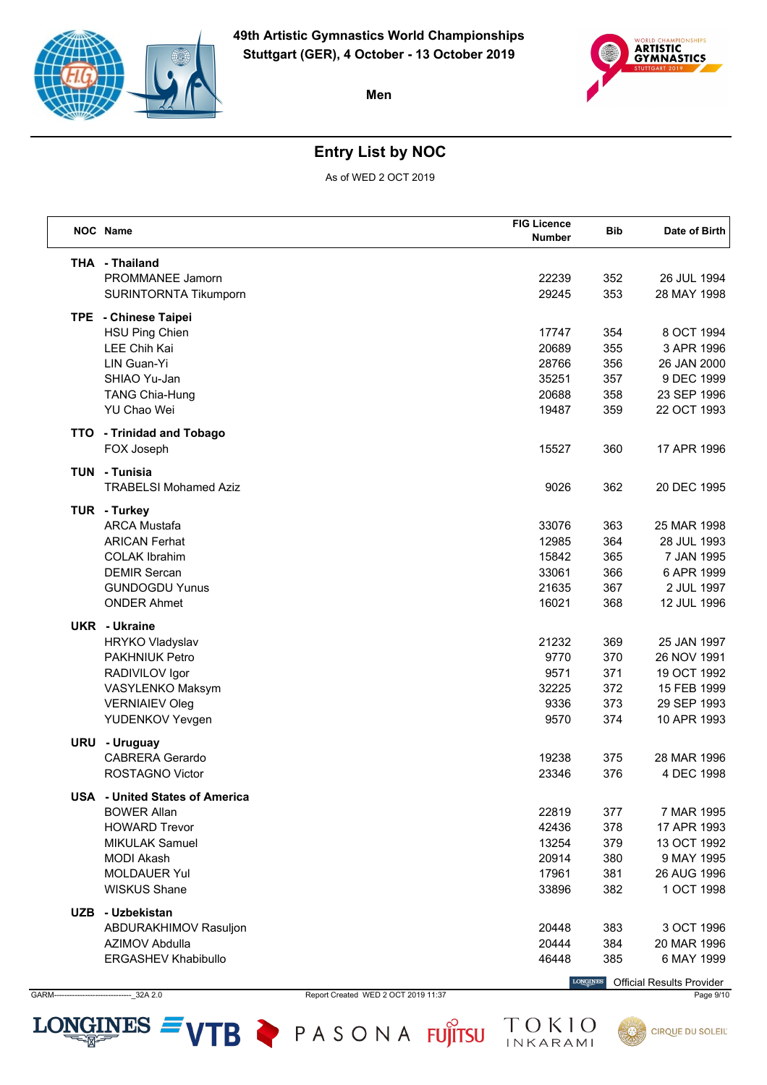



## **Entry List by NOC**

As of WED 2 OCT 2019

|     | <b>NOC</b> Name                       | <b>FIG Licence</b><br>Number | <b>Bib</b> | Date of Birth |
|-----|---------------------------------------|------------------------------|------------|---------------|
|     | <b>THA - Thailand</b>                 |                              |            |               |
|     | <b>PROMMANEE Jamorn</b>               | 22239                        | 352        | 26 JUL 1994   |
|     | SURINTORNTA Tikumporn                 | 29245                        | 353        | 28 MAY 1998   |
|     | TPE - Chinese Taipei                  |                              |            |               |
|     | <b>HSU Ping Chien</b>                 | 17747                        | 354        | 8 OCT 1994    |
|     | LEE Chih Kai                          | 20689                        | 355        | 3 APR 1996    |
|     | LIN Guan-Yi                           | 28766                        | 356        | 26 JAN 2000   |
|     | SHIAO Yu-Jan                          | 35251                        | 357        | 9 DEC 1999    |
|     | <b>TANG Chia-Hung</b>                 | 20688                        | 358        | 23 SEP 1996   |
|     | YU Chao Wei                           | 19487                        | 359        | 22 OCT 1993   |
|     | TTO - Trinidad and Tobago             |                              |            |               |
|     | FOX Joseph                            | 15527                        | 360        | 17 APR 1996   |
|     | <b>TUN - Tunisia</b>                  |                              |            |               |
|     | <b>TRABELSI Mohamed Aziz</b>          | 9026                         | 362        | 20 DEC 1995   |
|     | TUR - Turkey                          |                              |            |               |
|     | <b>ARCA Mustafa</b>                   | 33076                        | 363        | 25 MAR 1998   |
|     | <b>ARICAN Ferhat</b>                  | 12985                        | 364        | 28 JUL 1993   |
|     | <b>COLAK Ibrahim</b>                  | 15842                        | 365        | 7 JAN 1995    |
|     | <b>DEMIR Sercan</b>                   | 33061                        | 366        | 6 APR 1999    |
|     | <b>GUNDOGDU Yunus</b>                 | 21635                        | 367        | 2 JUL 1997    |
|     | <b>ONDER Ahmet</b>                    | 16021                        | 368        | 12 JUL 1996   |
|     | UKR - Ukraine                         |                              |            |               |
|     | HRYKO Vladyslav                       | 21232                        | 369        | 25 JAN 1997   |
|     | <b>PAKHNIUK Petro</b>                 | 9770                         | 370        | 26 NOV 1991   |
|     | RADIVILOV Igor                        | 9571                         | 371        | 19 OCT 1992   |
|     | VASYLENKO Maksym                      | 32225                        | 372        | 15 FEB 1999   |
|     | <b>VERNIAIEV Oleg</b>                 | 9336                         | 373        | 29 SEP 1993   |
|     | YUDENKOV Yevgen                       | 9570                         | 374        | 10 APR 1993   |
| URU | - Uruguay                             |                              |            |               |
|     | <b>CABRERA Gerardo</b>                | 19238                        | 375        | 28 MAR 1996   |
|     | <b>ROSTAGNO Victor</b>                | 23346                        | 376        | 4 DEC 1998    |
|     | <b>USA</b> - United States of America |                              |            |               |
|     | <b>BOWER Allan</b>                    | 22819                        | 377        | 7 MAR 1995    |
|     | <b>HOWARD Trevor</b>                  | 42436                        | 378        | 17 APR 1993   |
|     | <b>MIKULAK Samuel</b>                 | 13254                        | 379        | 13 OCT 1992   |
|     | <b>MODI Akash</b>                     | 20914                        | 380        | 9 MAY 1995    |
|     | <b>MOLDAUER Yul</b>                   | 17961                        | 381        | 26 AUG 1996   |
|     | <b>WISKUS Shane</b>                   | 33896                        | 382        | 1 OCT 1998    |
|     | UZB - Uzbekistan                      |                              |            |               |
|     | ABDURAKHIMOV Rasuljon                 | 20448                        | 383        | 3 OCT 1996    |
|     | AZIMOV Abdulla                        | 20444                        | 384        | 20 MAR 1996   |
|     | <b>ERGASHEV Khabibullo</b>            | 46448                        | 385        | 6 MAY 1999    |
|     |                                       |                              |            |               |

GARM------------------------------\_32A 2.0 Report Created WED 2 OCT 2019 11:37 Page 9/10

LONGINES  $=$  VTB  $\geq$  PASONA FUJITSU

Official Results Provider